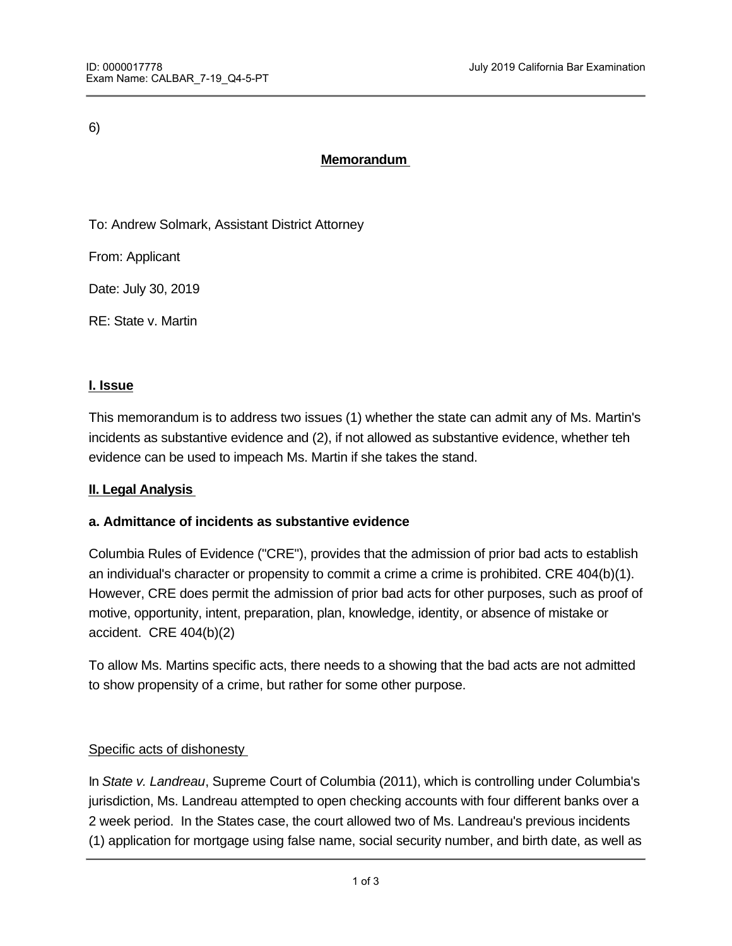6)

# **Memorandum**

To: Andrew Solmark, Assistant District Attorney

From: Applicant

Date: July 30, 2019

RE: State v. Martin

#### **I. Issue**

This memorandum is to address two issues (1) whether the state can admit any of Ms. Martin's incidents as substantive evidence and (2), if not allowed as substantive evidence, whether teh evidence can be used to impeach Ms. Martin if she takes the stand.

### **II. Legal Analysis**

### **a. Admittance of incidents as substantive evidence**

Columbia Rules of Evidence ("CRE"), provides that the admission of prior bad acts to establish an individual's character or propensity to commit a crime a crime is prohibited. CRE 404(b)(1). However, CRE does permit the admission of prior bad acts for other purposes, such as proof of motive, opportunity, intent, preparation, plan, knowledge, identity, or absence of mistake or accident. CRE 404(b)(2)

To allow Ms. Martins specific acts, there needs to a showing that the bad acts are not admitted to show propensity of a crime, but rather for some other purpose.

### Specific acts of dishonesty

In *State v. Landreau*, Supreme Court of Columbia (2011), which is controlling under Columbia's jurisdiction, Ms. Landreau attempted to open checking accounts with four different banks over a 2 week period. In the States case, the court allowed two of Ms. Landreau's previous incidents (1) application for mortgage using false name, social security number, and birth date, as well as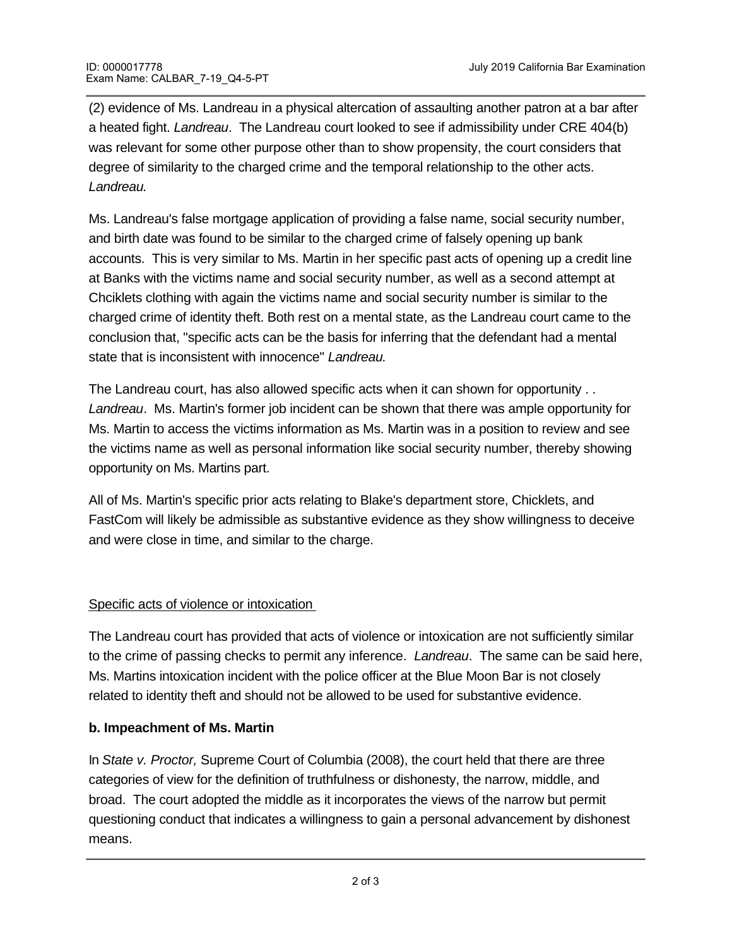(2) evidence of Ms. Landreau in a physical altercation of assaulting another patron at a bar after a heated fight. *Landreau*. The Landreau court looked to see if admissibility under CRE 404(b) was relevant for some other purpose other than to show propensity, the court considers that degree of similarity to the charged crime and the temporal relationship to the other acts. *Landreau.* 

Ms. Landreau's false mortgage application of providing a false name, social security number, and birth date was found to be similar to the charged crime of falsely opening up bank accounts. This is very similar to Ms. Martin in her specific past acts of opening up a credit line at Banks with the victims name and social security number, as well as a second attempt at Chciklets clothing with again the victims name and social security number is similar to the charged crime of identity theft. Both rest on a mental state, as the Landreau court came to the conclusion that, "specific acts can be the basis for inferring that the defendant had a mental state that is inconsistent with innocence" *Landreau.* 

The Landreau court, has also allowed specific acts when it can shown for opportunity . . *Landreau*. Ms. Martin's former job incident can be shown that there was ample opportunity for Ms. Martin to access the victims information as Ms. Martin was in a position to review and see the victims name as well as personal information like social security number, thereby showing opportunity on Ms. Martins part.

All of Ms. Martin's specific prior acts relating to Blake's department store, Chicklets, and FastCom will likely be admissible as substantive evidence as they show willingness to deceive and were close in time, and similar to the charge.

## Specific acts of violence or intoxication

The Landreau court has provided that acts of violence or intoxication are not sufficiently similar to the crime of passing checks to permit any inference. *Landreau*. The same can be said here, Ms. Martins intoxication incident with the police officer at the Blue Moon Bar is not closely related to identity theft and should not be allowed to be used for substantive evidence.

## **b. Impeachment of Ms. Martin**

In *State v. Proctor,* Supreme Court of Columbia (2008), the court held that there are three categories of view for the definition of truthfulness or dishonesty, the narrow, middle, and broad. The court adopted the middle as it incorporates the views of the narrow but permit questioning conduct that indicates a willingness to gain a personal advancement by dishonest means.